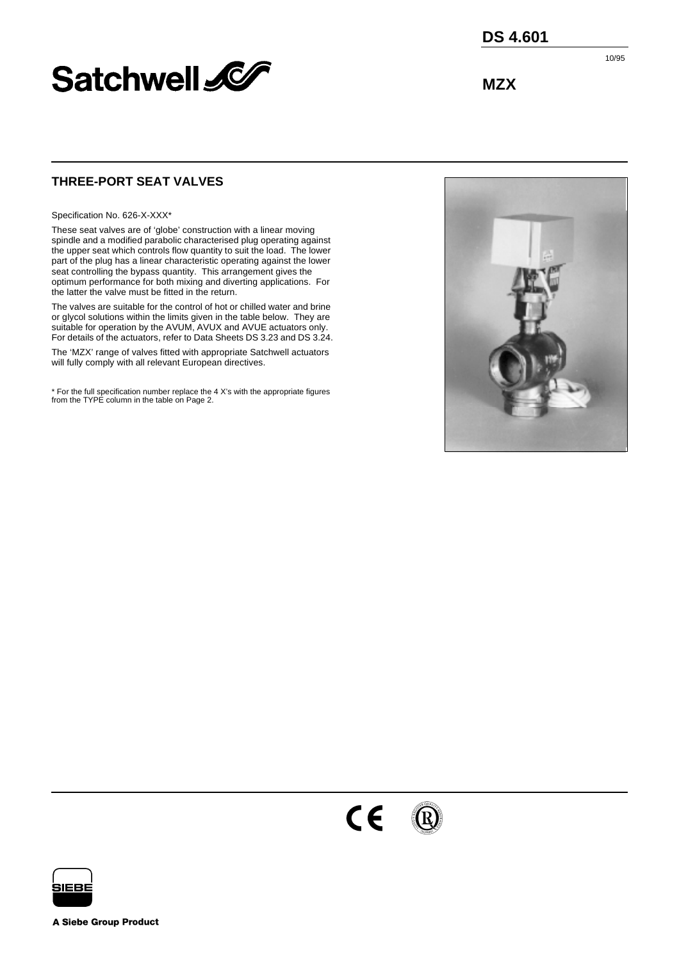

**DS 4.601**

10/95

**MZX**

# **THREE-PORT SEAT VALVES**

Specification No. 626-X-XXX\*

These seat valves are of 'globe' construction with a linear moving spindle and a modified parabolic characterised plug operating against the upper seat which controls flow quantity to suit the load. The lower part of the plug has a linear characteristic operating against the lower seat controlling the bypass quantity. This arrangement gives the optimum performance for both mixing and diverting applications. For the latter the valve must be fitted in the return.

The valves are suitable for the control of hot or chilled water and brine or glycol solutions within the limits given in the table below. They are suitable for operation by the AVUM, AVUX and AVUE actuators only. For details of the actuators, refer to Data Sheets DS 3.23 and DS 3.24.

The 'MZX' range of valves fitted with appropriate Satchwell actuators will fully comply with all relevant European directives.

\* For the full specification number replace the 4 X's with the appropriate figures from the TYPE column in the table on [Page 2](#page-1-0).







**A Siebe Group Product**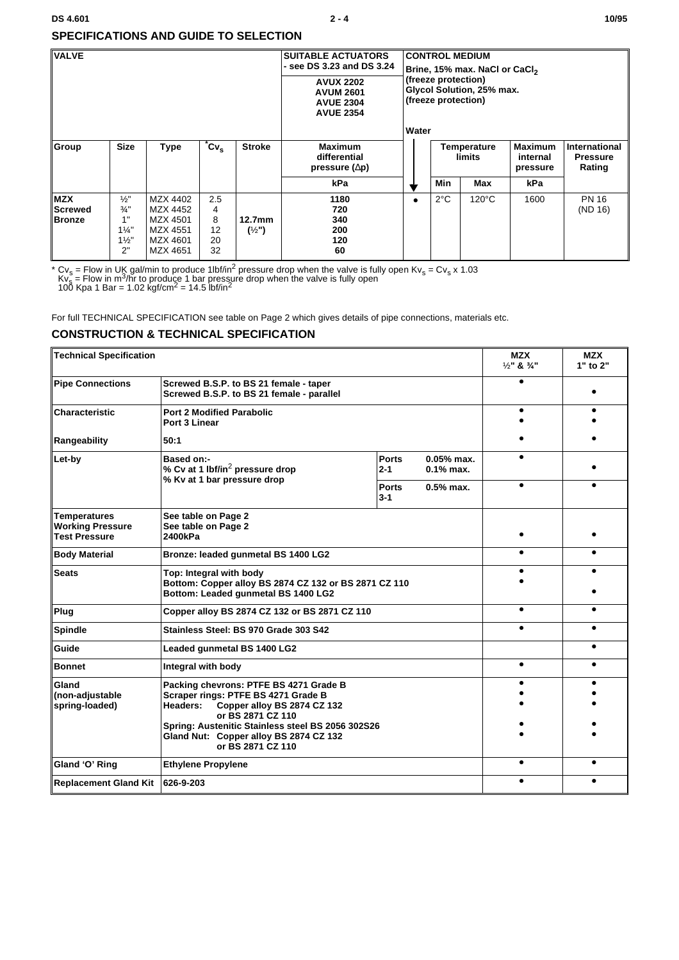#### **DS 4.601** 2 - 4 10/95

## <span id="page-1-0"></span>**SPECIFICATIONS AND GUIDE TO SELECTION**

| <b>VALVE</b>                           |                                                                                  |                                                                      |                                 | <b>SUITABLE ACTUATORS</b><br>- see DS 3.23 and DS 3.24<br><b>AVUX 2202</b><br><b>AVUM 2601</b><br><b>AVUE 2304</b><br><b>AVUE 2354</b> | <b>CONTROL MEDIUM</b><br>Brine, 15% max. NaCl or CaCl <sub>2</sub><br>(freeze protection)<br>Glycol Solution, 25% max.<br>(freeze protection) |                                |               |                                 |                                                   |                         |
|----------------------------------------|----------------------------------------------------------------------------------|----------------------------------------------------------------------|---------------------------------|----------------------------------------------------------------------------------------------------------------------------------------|-----------------------------------------------------------------------------------------------------------------------------------------------|--------------------------------|---------------|---------------------------------|---------------------------------------------------|-------------------------|
| Group                                  | <b>Size</b>                                                                      | <b>Type</b>                                                          | $^{\ast}$ Cv $_{\rm s}$         | <b>Stroke</b>                                                                                                                          | <b>Maximum</b><br>differential<br>pressure $(\Delta p)$                                                                                       | Water<br>Temperature<br>limits |               | Maximum<br>internal<br>pressure | <b>International</b><br><b>Pressure</b><br>Rating |                         |
|                                        |                                                                                  |                                                                      |                                 |                                                                                                                                        | kPa                                                                                                                                           |                                | <b>Min</b>    | Max                             | kPa                                               |                         |
| <b>MZX</b><br>Screwed<br><b>Bronze</b> | $\frac{1}{2}$<br>$\frac{3}{4}$ "<br>1"<br>$1\frac{1}{4}$<br>$1\frac{1}{2}$<br>2" | MZX 4402<br>MZX 4452<br>MZX 4501<br>MZX 4551<br>MZX 4601<br>MZX 4651 | 2.5<br>4<br>8<br>12<br>20<br>32 | 12.7 <sub>mm</sub><br>$(\frac{1}{2})$                                                                                                  | 1180<br>720<br>340<br>200<br>120<br>60                                                                                                        | $\bullet$                      | $2^{\circ}$ C | $120^{\circ}$ C                 | 1600                                              | <b>PN 16</b><br>(ND 16) |

\* Cv<sub>s</sub> = Flow in UK gal/min to produce 1lbf/in<sup>2</sup> pressure drop when the valve is fully open Kv<sub>s</sub> = Cv<sub>s</sub> x 1.03<br>Kv<sub>s</sub> = Flow in m<sup>3</sup>/hr to produce 1 bar pressure drop when the valve is fully open<br>100 Kpa 1 Bar = 1.02 k

For full TECHNICAL SPECIFICATION see table on [Page 2](#page-1-1) which gives details of pipe connections, materials etc.

# <span id="page-1-1"></span>**CONSTRUCTION & TECHNICAL SPECIFICATION**

| <b>Technical Specification</b>                                  |                                                                                                                         |                         |                                                                              | <b>MZX</b><br>$1/5$ " & $3/4$ " | <b>MZX</b><br>1" to 2" |  |
|-----------------------------------------------------------------|-------------------------------------------------------------------------------------------------------------------------|-------------------------|------------------------------------------------------------------------------|---------------------------------|------------------------|--|
| <b>Pipe Connections</b>                                         | Screwed B.S.P. to BS 21 female - taper<br>Screwed B.S.P. to BS 21 female - parallel                                     |                         |                                                                              |                                 |                        |  |
| Characteristic                                                  | <b>Port 2 Modified Parabolic</b><br>Port 3 Linear                                                                       |                         |                                                                              |                                 |                        |  |
| Rangeability                                                    | 50:1                                                                                                                    |                         |                                                                              |                                 |                        |  |
| Let-by                                                          | <b>Based on:-</b><br>% Cv at 1 lbf/in <sup>2</sup> pressure drop                                                        | <b>Ports</b><br>$2 - 1$ | $0.05%$ max.<br>$0.1\%$ max.                                                 |                                 |                        |  |
|                                                                 | % Kv at 1 bar pressure drop                                                                                             | <b>Ports</b><br>$3 - 1$ | $0.5%$ max.<br>$\bullet$<br>$\bullet$<br>$\bullet$<br>$\bullet$<br>$\bullet$ |                                 |                        |  |
| Temperatures<br><b>Working Pressure</b><br><b>Test Pressure</b> | See table on Page 2<br>See table on Page 2<br>2400kPa                                                                   |                         |                                                                              |                                 |                        |  |
| <b>Body Material</b>                                            | Bronze: leaded gunmetal BS 1400 LG2                                                                                     |                         |                                                                              |                                 |                        |  |
| <b>Seats</b>                                                    | Top: Integral with body<br>Bottom: Copper alloy BS 2874 CZ 132 or BS 2871 CZ 110<br>Bottom: Leaded gunmetal BS 1400 LG2 |                         |                                                                              |                                 |                        |  |
| Plug                                                            | Copper alloy BS 2874 CZ 132 or BS 2871 CZ 110                                                                           |                         | $\bullet$                                                                    |                                 |                        |  |
| <b>Spindle</b>                                                  | Stainless Steel: BS 970 Grade 303 S42                                                                                   |                         |                                                                              |                                 |                        |  |
| Guide                                                           | Leaded gunmetal BS 1400 LG2                                                                                             |                         |                                                                              |                                 |                        |  |
| <b>Bonnet</b>                                                   | Integral with body                                                                                                      |                         |                                                                              |                                 |                        |  |
| Gland<br>(non-adjustable<br>spring-loaded)                      |                                                                                                                         |                         |                                                                              |                                 |                        |  |
| Gland 'O' Ring                                                  | <b>Ethylene Propylene</b>                                                                                               |                         |                                                                              |                                 |                        |  |
| Replacement Gland Kit                                           | 626-9-203                                                                                                               |                         |                                                                              |                                 | ●                      |  |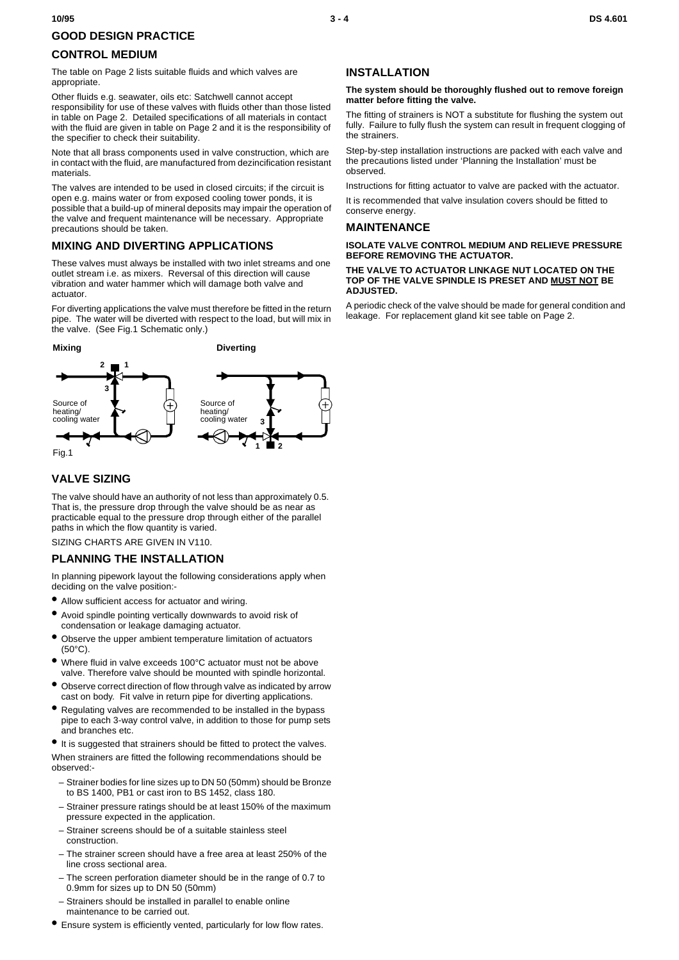# <span id="page-2-1"></span>**GOOD DESIGN PRACTICE**

## **CONTROL MEDIUM**

The table on [Page 2](#page-1-0) lists suitable fluids and which valves are appropriate.

Other fluids e.g. seawater, oils etc: Satchwell cannot accept responsibility for use of these valves with fluids other than those listed in table on [Page 2.](#page-1-0) Detailed specifications of all materials in contact with the fluid are given in table on [Page 2](#page-1-1) and it is the responsibility of the specifier to check their suitability.

Note that all brass components used in valve construction, which are in contact with the fluid, are manufactured from dezincification resistant materials.

The valves are intended to be used in closed circuits; if the circuit is open e.g. mains water or from exposed cooling tower ponds, it is possible that a build-up of mineral deposits may impair the operation of the valve and frequent maintenance will be necessary. Appropriate precautions should be taken.

## **MIXING AND DIVERTING APPLICATIONS**

These valves must always be installed with two inlet streams and one outlet stream i.e. as mixers. Reversal of this direction will cause vibration and water hammer which will damage both valve and actuator.

For diverting applications the valve must therefore be fitted in the return pipe. The water will be diverted with respect to the load, but will mix in the valve. (See [Fig.1](#page-2-0) Schematic only.)



## <span id="page-2-0"></span>**VALVE SIZING**

The valve should have an authority of not less than approximately 0.5. That is, the pressure drop through the valve should be as near as practicable equal to the pressure drop through either of the parallel paths in which the flow quantity is varied.

SIZING CHARTS ARE GIVEN IN V110.

## **PLANNING THE INSTALLATION**

In planning pipework layout the following considerations apply when deciding on the valve position:-

- **•** Allow sufficient access for actuator and wiring.
- **•** Avoid spindle pointing vertically downwards to avoid risk of condensation or leakage damaging actuator.
- **•** Observe the upper ambient temperature limitation of actuators (50°C).
- **•** Where fluid in valve exceeds 100°C actuator must not be above valve. Therefore valve should be mounted with spindle horizontal.
- **•** Observe correct direction of flow through valve as indicated by arrow cast on body. Fit valve in return pipe for diverting applications.
- **•** Regulating valves are recommended to be installed in the bypass pipe to each 3-way control valve, in addition to those for pump sets and branches etc.

**•** It is suggested that strainers should be fitted to protect the valves. When strainers are fitted the following recommendations should be observed:-

- Strainer bodies for line sizes up to DN 50 (50mm) should be Bronze to BS 1400, PB1 or cast iron to BS 1452, class 180.
- Strainer pressure ratings should be at least 150% of the maximum pressure expected in the application.
- Strainer screens should be of a suitable stainless steel construction.
- The strainer screen should have a free area at least 250% of the line cross sectional area.
- The screen perforation diameter should be in the range of 0.7 to 0.9mm for sizes up to DN 50 (50mm)
- Strainers should be installed in parallel to enable online maintenance to be carried out.
- **•** Ensure system is efficiently vented, particularly for low flow rates.

### **INSTALLATION**

#### **The system should be thoroughly flushed out to remove foreign matter before fitting the valve.**

The fitting of strainers is NOT a substitute for flushing the system out fully. Failure to fully flush the system can result in frequent clogging of the strainers.

Step-by-step installation instructions are packed with each valve and the precautions listed under 'Planning the Installation' must be observed.

Instructions for fitting actuator to valve are packed with the actuator.

It is recommended that valve insulation covers should be fitted to conserve energy.

### **MAINTENANCE**

#### **ISOLATE VALVE CONTROL MEDIUM AND RELIEVE PRESSURE BEFORE REMOVING THE ACTUATOR.**

#### **THE VALVE TO ACTUATOR LINKAGE NUT LOCATED ON THE TOP OF THE VALVE SPINDLE IS PRESET AND MUST NOT BE ADJUSTED.**

A periodic check of the valve should be made for general condition and leakage. For replacement gland kit see table on [Page 2](#page-1-1).